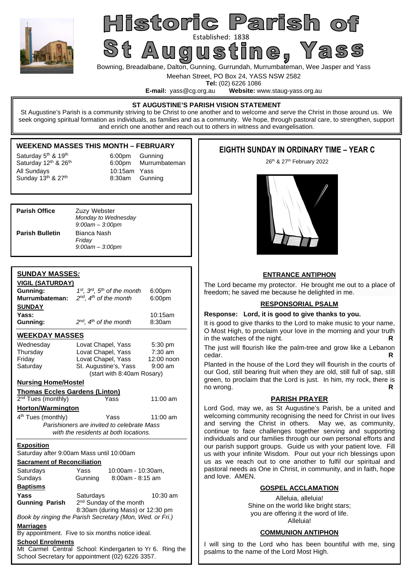

# Historic Parish of Established: 1838<br>St Augustine , Yass

Bowning, Breadalbane, Dalton, Gunning, Gurrundah, Murrumbateman, Wee Jasper and Yass

Meehan Street, PO Box 24, YASS NSW 2582

**Tel:** (02) 6226 1086<br>**E-mail:** vass@cg.org.au **Website:** w Website: www.staug-yass.org.au

### **ST AUGUSTINE'S PARISH VISION STATEMENT**

St Augustine's Parish is a community striving to be Christ to one another and to welcome and serve the Christ in those around us. We seek ongoing spiritual formation as individuals, as families and as a community. We hope, through pastoral care, to strengthen, support and enrich one another and reach out to others in witness and evangelisation.

## **WEEKEND MASSES THIS MONTH – FEBRUARY**

Saturday  $5<sup>th</sup>$  & 19<sup>th</sup> 6:00pm Gunning All Sundays  $\frac{10:15$ am Yass  $\frac{10:15}{2}$  8:30am Gunn

Saturday 12<sup>th</sup> & 26<sup>th</sup> 6:00pm Murrumbateman 8:30am Gunning

| <b>Parish Office</b>   | Zuzy Webster<br>Monday to Wednesday<br>$9:00$ am $-3:00$ pm |
|------------------------|-------------------------------------------------------------|
| <b>Parish Bulletin</b> | Bianca Nash<br>Friday<br>$9:00$ am $-3:00$ pm               |

## **SUNDAY MASSES***:*

| <u>VIGIL (SATURDAY)</u>               |                                                                                                     |            |  |  |  |
|---------------------------------------|-----------------------------------------------------------------------------------------------------|------------|--|--|--|
| Gunning:                              | 1st, 3rd, 5th of the month<br>6:00pm                                                                |            |  |  |  |
| Murrumbateman:                        | $2^{nd}$ , $4^{th}$ of the month                                                                    | 6:00pm     |  |  |  |
| <b>SUNDAY</b>                         |                                                                                                     |            |  |  |  |
| Yass:                                 |                                                                                                     | 10:15am    |  |  |  |
| Gunning:                              | $2^{nd}$ , $4^{th}$ of the month                                                                    | 8:30am     |  |  |  |
| <b>WEEKDAY MASSES</b>                 |                                                                                                     |            |  |  |  |
| Wednesday                             | Lovat Chapel, Yass<br>5:30 pm                                                                       |            |  |  |  |
| Thursday                              | Lovat Chapel, Yass                                                                                  | $7:30$ am  |  |  |  |
| Friday                                | Lovat Chapel, Yass                                                                                  | 12:00 noon |  |  |  |
| Saturday                              | St. Augustine's, Yass                                                                               | $9:00$ am  |  |  |  |
|                                       | (start with 8:40am Rosary)                                                                          |            |  |  |  |
| <b>Nursing Home/Hostel</b>            |                                                                                                     |            |  |  |  |
| <b>Thomas Eccles Gardens (Linton)</b> |                                                                                                     |            |  |  |  |
| 2 <sup>nd</sup> Tues (monthly)        | Yass                                                                                                | 11:00 am   |  |  |  |
| <b>Horton/Warmington</b>              |                                                                                                     |            |  |  |  |
| 4 <sup>th</sup> Tues (monthly)        | Yass<br>11:00 am                                                                                    |            |  |  |  |
|                                       | Parishioners are invited to celebrate Mass                                                          |            |  |  |  |
|                                       | with the residents at both locations.                                                               |            |  |  |  |
| <b>Exposition</b>                     |                                                                                                     |            |  |  |  |
|                                       | Saturday after 9:00am Mass until 10:00am                                                            |            |  |  |  |
| <b>Sacrament of Reconciliation</b>    |                                                                                                     |            |  |  |  |
| Saturdays                             | Yass<br>10:00am - 10:30am,                                                                          |            |  |  |  |
| Sundays                               | Gunning<br>8:00am - 8:15 am                                                                         |            |  |  |  |
| <b>Baptisms</b>                       |                                                                                                     |            |  |  |  |
| Yass                                  | Saturdays                                                                                           | 10:30 am   |  |  |  |
|                                       |                                                                                                     |            |  |  |  |
| <b>Gunning Parish</b>                 | 2 <sup>nd</sup> Sunday of the month                                                                 |            |  |  |  |
|                                       | 8:30am (during Mass) or 12:30 pm                                                                    |            |  |  |  |
|                                       | Book by ringing the Parish Secretary (Mon, Wed. or Fri.)                                            |            |  |  |  |
| <b>Marriages</b>                      | By appointment. Five to six months notice ideal.                                                    |            |  |  |  |
| <b>School Enrolments</b>              |                                                                                                     |            |  |  |  |
|                                       | Mt Carmel Central School: Kindergarten to Yr 6.<br>School Secretary for appointment (02) 6226 3357. | Ring the   |  |  |  |

## **EIGHTH SUNDAY IN ORDINARY TIME – YEAR C**

26<sup>th</sup> & 27<sup>th</sup> February 2022



## **ENTRANCE ANTIPHON**

The Lord became my protector. He brought me out to a place of freedom; he saved me because he delighted in me.

## **RESPONSORIAL PSALM**

### **Response: Lord, it is good to give thanks to you.**

It is good to give thanks to the Lord to make music to your name, O Most High, to proclaim your love in the morning and your truth in the watches of the night.

The just will flourish like the palm-tree and grow like a Lebanon cedar  $R$ cedar. **R** 

Planted in the house of the Lord they will flourish in the courts of our God, still bearing fruit when they are old, still full of sap, still green, to proclaim that the Lord is just. In him, my rock, there is no wrong. **R** 

## **PARISH PRAYER**

Lord God, may we, as St Augustine's Parish, be a united and welcoming community recognising the need for Christ in our lives and serving the Christ in others. May we, as community, continue to face challenges together serving and supporting individuals and our families through our own personal efforts and our parish support groups. Guide us with your patient love. Fill us with your infinite Wisdom. Pour out your rich blessings upon us as we reach out to one another to fulfil our spiritual and pastoral needs as One in Christ, in community, and in faith, hope and love. AMEN.

### **GOSPEL ACCLAMATION**

Alleluia, alleluia! Shine on the world like bright stars; you are offering it the word of life. Alleluia!

### **COMMUNION ANTIPHON**

I will sing to the Lord who has been bountiful with me, sing psalms to the name of the Lord Most High.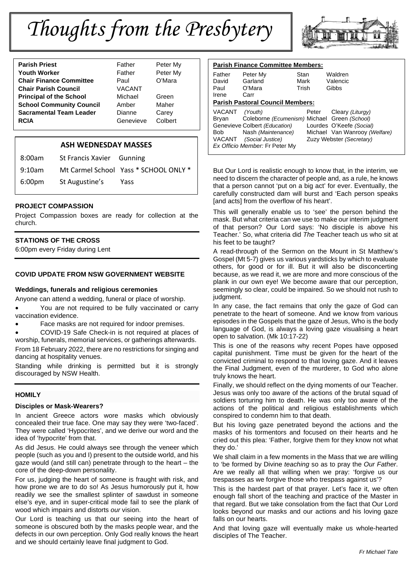## *Thoughts from the Presbytery*



## **ASH WEDNESDAY MASSES**

| 8:00am             | St Francis Xavier Gunning |                                       |
|--------------------|---------------------------|---------------------------------------|
| 9:10am             |                           | Mt Carmel School Yass * SCHOOL ONLY * |
| 6:00 <sub>pm</sub> | St Augustine's            | Yass                                  |

## **PROJECT COMPASSION**

Project Compassion boxes are ready for collection at the church.

## **STATIONS OF THE CROSS**

6:00pm every Friday during Lent

#### **COVID UPDATE FROM NSW GOVERNMENT WEBSITE**

#### **Weddings, funerals and religious ceremonies**

Anyone can attend a wedding, funeral or place of worship.

 You are not required to be fully vaccinated or carry vaccination evidence.

Face masks are not required for indoor premises.

COVID-19 Safe Check-in is not required at places of

worship, funerals, memorial services, or gatherings afterwards. From 18 February 2022, there are no restrictions for singing and dancing at hospitality venues.

Standing while drinking is permitted but it is strongly discouraged by NSW Health.

### **HOMILY**

#### **Disciples or Mask-Wearers?**

In ancient Greece actors wore masks which obviously concealed their true face. One may say they were 'two-faced'. They were called 'Hypocrites', and we derive our word and the idea of 'hypocrite' from that.

As did Jesus. He could always see through the veneer which people (such as you and I) present to the outside world, and his gaze would (and still can) penetrate through to the heart – the core of the deep-down personality.

For us, judging the heart of someone is fraught with risk, and how prone we are to do so! As Jesus humorously put it, how readily we see the smallest splinter of sawdust in someone else's eye, and in super-critical mode fail to see the plank of wood which impairs and distorts *our* vision.

Our Lord is teaching us that our seeing into the heart of someone is obscured both by the masks people wear, and the defects in our own perception. Only God really knows the heart and we should certainly leave final judgment to God.



| <b>Parish Finance Committee Members:</b> |                                              |       |                               |  |
|------------------------------------------|----------------------------------------------|-------|-------------------------------|--|
| Father                                   | Peter My                                     | Stan  | Waldren                       |  |
| David                                    | Garland                                      | Mark  | Valencic                      |  |
| Paul                                     | O'Mara                                       | Trish | Gibbs                         |  |
| Irene                                    | Carr                                         |       |                               |  |
| <b>Parish Pastoral Council Members:</b>  |                                              |       |                               |  |
| VACANT                                   | (Youth)                                      | Peter | Cleary (Liturgy)              |  |
| Bryan                                    | Coleborne (Ecumenism) Michael Green (School) |       |                               |  |
|                                          | Genevieve Colbert (Education)                |       | Lourdes O'Keefe (Social)      |  |
| Bob                                      | Nash (Maintenance)                           |       | Michael Van Wanrooy (Welfare) |  |
| VACANT                                   | (Social Justice)                             |       | Zuzy Webster (Secretary)      |  |
| Ex Officio Member: Fr Peter My           |                                              |       |                               |  |

But Our Lord is realistic enough to know that, in the interim, we need to discern the character of people and, as a rule, he knows that a person cannot 'put on a big act' for ever. Eventually, the carefully constructed dam will burst and 'Each person speaks [and acts] from the overflow of his heart'.

This will generally enable us to 'see' the person behind the mask. But what criteria can we use to make our interim judgment of that person? Our Lord says: 'No disciple is above his Teacher.' So, what criteria did *The* Teacher teach us who sit at his feet to be taught?

A read-through of the Sermon on the Mount in St Matthew's Gospel (Mt 5-7) gives us various yardsticks by which to evaluate others, for good or for ill. But it will also be disconcerting because, as we read it, we are more and more conscious of the plank in our own eye! We become aware that our perception, seemingly so clear, could be impaired. So we should not rush to judgment.

In any case, the fact remains that only the gaze of God can penetrate to the heart of someone. And we know from various episodes in the Gospels that the gaze of Jesus, Who is the body language of God, is always a loving gaze visualising a heart open to salvation. (Mk 10:17-22)

This is one of the reasons why recent Popes have opposed capital punishment. Time must be given for the heart of the convicted criminal to respond to that loving gaze. And it leaves the Final Judgment, even of the murderer, to God who alone truly knows the heart.

Finally, we should reflect on the dying moments of our Teacher. Jesus was only too aware of the actions of the brutal squad of soldiers torturing him to death. He was only too aware of the actions of the political and religious establishments which conspired to condemn him to that death.

But his loving gaze penetrated beyond the actions and the masks of his tormentors and focused on their hearts and he cried out this plea: 'Father, forgive them for they know not what they do.'

We shall claim in a few moments in the Mass that we are willing to 'be formed by Divine *teaching* so as to pray the *Our Father*. Are we really all that willing when we pray: 'forgive us our trespasses as we forgive those who trespass against us'?

This is the hardest part of that prayer. Let's face it, we often enough fall short of the teaching and practice of the Master in that regard. But we take consolation from the fact that Our Lord looks beyond our masks and our actions and his loving gaze falls on our hearts.

And that loving gaze will eventually make us whole-hearted disciples of The Teacher.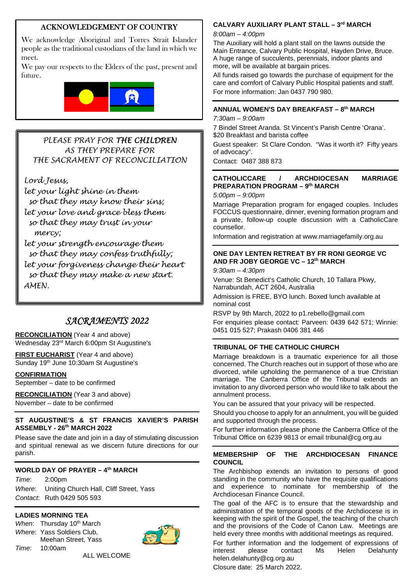## ACKNOWLEDGEMENT OF COUNTRY

We acknowledge Aboriginal and Torres Strait Islander people as the traditional custodians of the land in which we meet.

We pay our respects to the Elders of the past, present and future.



## *PLEASE PRAY FOR THE CHILDREN AS THEY PREPARE FOR THE SACRAMENT OF RECONCILIATION*

*Lord Jesus,* 

*let your light shine in them so that they may know their sins; let your love and grace bless them so that they may trust in your mercy;* 

*let your strength encourage them so that they may confess truthfully; let your forgiveness change their heart so that they may make a new start. AMEN.* 

## *SACRAMENTS 2022*

**RECONCILIATION** (Year 4 and above) Wednesday 23rd March 6:00pm St Augustine's

**FIRST EUCHARIST** (Year 4 and above) Sunday 19<sup>th</sup> June 10:30am St Augustine's

### **CONFIRMATION**

September – date to be confirmed

**RECONCILIATION** (Year 3 and above) November – date to be confirmed

## **ST AUGUSTINE'S & ST FRANCIS XAVIER'S PARISH ASSEMBLY - 26th MARCH 2022**

Please save the date and join in a day of stimulating discussion and spiritual renewal as we discern future directions for our parish.

## **WORLD DAY OF PRAYER – 4th MARCH**

*Time*: 2:00pm *Where*: Uniting Church Hall, Cliff Street, Yass *Contact*: Ruth 0429 505 593

## **LADIES MORNING TEA**

*When*: Thursday 10<sup>th</sup> March *Where*: Yass Soldiers Club, Meehan Street, Yass *Time*: 10:00am



ALL WELCOME

## **CALVARY AUXILIARY PLANT STALL – 3rd MARCH**

*8:00am – 4:00pm*

The Auxiliary will hold a plant stall on the lawns outside the Main Entrance, Calvary Public Hospital, Hayden Drive, Bruce. A huge range of succulents, perennials, indoor plants and more, will be available at bargain prices.

All funds raised go towards the purchase of equipment for the care and comfort of Calvary Public Hospital patients and staff. For more information: Jan 0437 790 980.

## **ANNUAL WOMEN'S DAY BREAKFAST – 8th MARCH**

*7:30am – 9:00am*

7 Bindel Street Aranda. St Vincent's Parish Centre 'Orana'. \$20 Breakfast and barista coffee

Guest speaker: St Clare Condon. "Was it worth it? Fifty years of advocacy".

Contact: 0487 388 873

## **CATHOLICCARE / ARCHDIOCESAN MARRIAGE PREPARATION PROGRAM – 9th MARCH**

*5:00pm – 9:00pm* 

Marriage Preparation program for engaged couples. Includes FOCCUS questionnaire, dinner, evening formation program and a private, follow-up couple discussion with a CatholicCare counsellor.

Information and registration at www.marriagefamily.org.au

## **ONE DAY LENTEN RETREAT BY FR RONI GEORGE VC AND FR JOBY GEORGE VC – 12th MARCH**

*9:30am – 4:30pm* 

Venue: St Benedict's Catholic Church, 10 Tallara Pkwy, Narrabundah, ACT 2604, Australia

Admission is FREE, BYO lunch. Boxed lunch available at nominal cost

RSVP by 9th March, 2022 to p1.rebello@gmail.com

For enquiries please contact: Parveen: 0439 642 571; Winnie: 0451 015 527; Prakash 0406 381 446

## **TRIBUNAL OF THE CATHOLIC CHURCH**

Marriage breakdown is a traumatic experience for all those concerned. The Church reaches out in support of those who are divorced, while upholding the permanence of a true Christian marriage. The Canberra Office of the Tribunal extends an invitation to any divorced person who would like to talk about the annulment process.

You can be assured that your privacy will be respected.

Should you choose to apply for an annulment, you will be guided and supported through the process.

For further information please phone the Canberra Office of the Tribunal Office on 6239 9813 or email tribunal@cg.org.au

## **MEMBERSHIP OF THE ARCHDIOCESAN FINANCE COUNCIL**

The Archbishop extends an invitation to persons of good standing in the community who have the requisite qualifications and experience to nominate for membership of the Archdiocesan Finance Council.

The goal of the AFC is to ensure that the stewardship and administration of the temporal goods of the Archdiocese is in keeping with the spirit of the Gospel, the teaching of the church and the provisions of the Code of Canon Law. Meetings are held every three months with additional meetings as required.

For further information and the lodgement of expressions of interest please contact Ms Helen Delahunty contact Ms Helen Delahunty helen.delahunty@cg.org.au

Closure date: 25 March 2022.